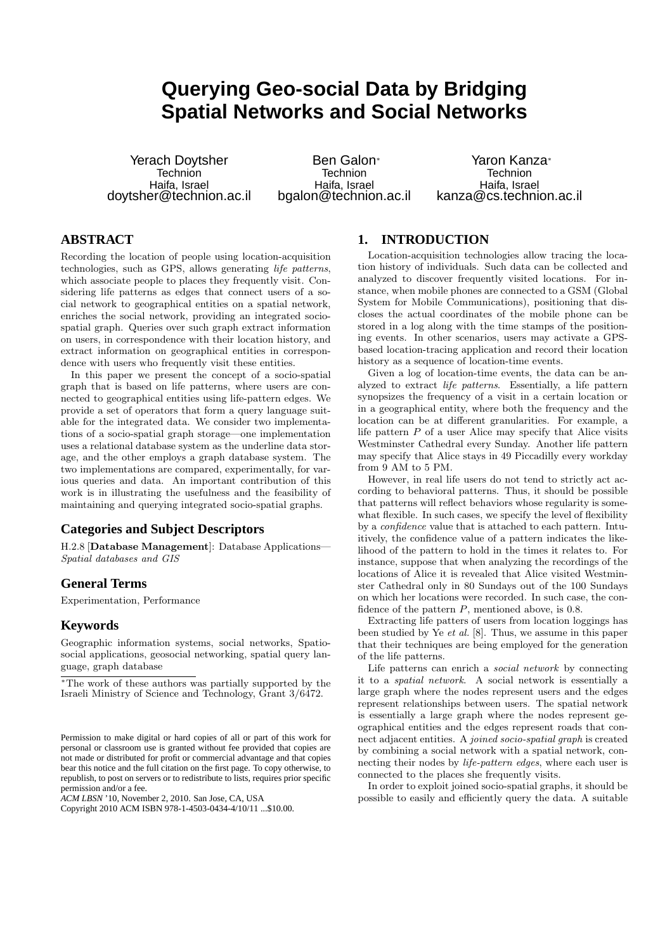# **Querying Geo-social Data by Bridging Spatial Networks and Social Networks**

Yerach Doytsher **Technion** Haifa, Israel doytsher@technion.ac.il

Ben Galon<sup>∗</sup> **Technion** Haifa, Israel bgalon@technion.ac.il

Yaron Kanza<sup>∗</sup> **Technion** Haifa, Israel kanza@cs.technion.ac.il

# **ABSTRACT**

Recording the location of people using location-acquisition technologies, such as GPS, allows generating life patterns, which associate people to places they frequently visit. Considering life patterns as edges that connect users of a social network to geographical entities on a spatial network, enriches the social network, providing an integrated sociospatial graph. Queries over such graph extract information on users, in correspondence with their location history, and extract information on geographical entities in correspondence with users who frequently visit these entities.

In this paper we present the concept of a socio-spatial graph that is based on life patterns, where users are connected to geographical entities using life-pattern edges. We provide a set of operators that form a query language suitable for the integrated data. We consider two implementations of a socio-spatial graph storage—one implementation uses a relational database system as the underline data storage, and the other employs a graph database system. The two implementations are compared, experimentally, for various queries and data. An important contribution of this work is in illustrating the usefulness and the feasibility of maintaining and querying integrated socio-spatial graphs.

# **Categories and Subject Descriptors**

H.2.8 [Database Management]: Database Applications— Spatial databases and GIS

# **General Terms**

Experimentation, Performance

## **Keywords**

Geographic information systems, social networks, Spatiosocial applications, geosocial networking, spatial query language, graph database

*ACM LBSN* '10, November 2, 2010. San Jose, CA, USA

Copyright 2010 ACM ISBN 978-1-4503-0434-4/10/11 ...\$10.00.

# **1. INTRODUCTION**

Location-acquisition technologies allow tracing the location history of individuals. Such data can be collected and analyzed to discover frequently visited locations. For instance, when mobile phones are connected to a GSM (Global System for Mobile Communications), positioning that discloses the actual coordinates of the mobile phone can be stored in a log along with the time stamps of the positioning events. In other scenarios, users may activate a GPSbased location-tracing application and record their location history as a sequence of location-time events.

Given a log of location-time events, the data can be analyzed to extract life patterns. Essentially, a life pattern synopsizes the frequency of a visit in a certain location or in a geographical entity, where both the frequency and the location can be at different granularities. For example, a life pattern  $P$  of a user Alice may specify that Alice visits Westminster Cathedral every Sunday. Another life pattern may specify that Alice stays in 49 Piccadilly every workday from 9 AM to 5 PM.

However, in real life users do not tend to strictly act according to behavioral patterns. Thus, it should be possible that patterns will reflect behaviors whose regularity is somewhat flexible. In such cases, we specify the level of flexibility by a confidence value that is attached to each pattern. Intuitively, the confidence value of a pattern indicates the likelihood of the pattern to hold in the times it relates to. For instance, suppose that when analyzing the recordings of the locations of Alice it is revealed that Alice visited Westminster Cathedral only in 80 Sundays out of the 100 Sundays on which her locations were recorded. In such case, the confidence of the pattern  $P$ , mentioned above, is 0.8.

Extracting life patters of users from location loggings has been studied by Ye et al. [8]. Thus, we assume in this paper that their techniques are being employed for the generation of the life patterns.

Life patterns can enrich a social network by connecting it to a spatial network. A social network is essentially a large graph where the nodes represent users and the edges represent relationships between users. The spatial network is essentially a large graph where the nodes represent geographical entities and the edges represent roads that connect adjacent entities. A joined socio-spatial graph is created by combining a social network with a spatial network, connecting their nodes by life-pattern edges, where each user is connected to the places she frequently visits.

In order to exploit joined socio-spatial graphs, it should be possible to easily and efficiently query the data. A suitable

<sup>∗</sup>The work of these authors was partially supported by the Israeli Ministry of Science and Technology, Grant 3/6472.

Permission to make digital or hard copies of all or part of this work for personal or classroom use is granted without fee provided that copies are not made or distributed for profit or commercial advantage and that copies bear this notice and the full citation on the first page. To copy otherwise, to republish, to post on servers or to redistribute to lists, requires prior specific permission and/or a fee.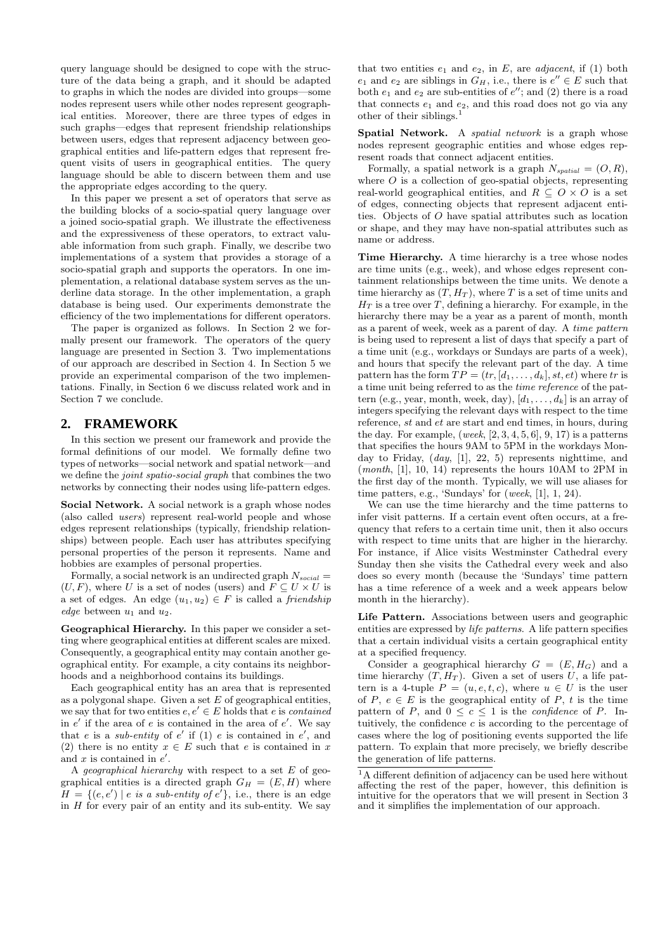query language should be designed to cope with the structure of the data being a graph, and it should be adapted to graphs in which the nodes are divided into groups—some nodes represent users while other nodes represent geographical entities. Moreover, there are three types of edges in such graphs—edges that represent friendship relationships between users, edges that represent adjacency between geographical entities and life-pattern edges that represent frequent visits of users in geographical entities. The query language should be able to discern between them and use the appropriate edges according to the query.

In this paper we present a set of operators that serve as the building blocks of a socio-spatial query language over a joined socio-spatial graph. We illustrate the effectiveness and the expressiveness of these operators, to extract valuable information from such graph. Finally, we describe two implementations of a system that provides a storage of a socio-spatial graph and supports the operators. In one implementation, a relational database system serves as the underline data storage. In the other implementation, a graph database is being used. Our experiments demonstrate the efficiency of the two implementations for different operators.

The paper is organized as follows. In Section 2 we formally present our framework. The operators of the query language are presented in Section 3. Two implementations of our approach are described in Section 4. In Section 5 we provide an experimental comparison of the two implementations. Finally, in Section 6 we discuss related work and in Section 7 we conclude.

# **2. FRAMEWORK**

In this section we present our framework and provide the formal definitions of our model. We formally define two types of networks—social network and spatial network—and we define the joint spatio-social graph that combines the two networks by connecting their nodes using life-pattern edges.

Social Network. A social network is a graph whose nodes (also called users) represent real-world people and whose edges represent relationships (typically, friendship relationships) between people. Each user has attributes specifying personal properties of the person it represents. Name and hobbies are examples of personal properties.

Formally, a social network is an undirected graph  $N_{social}$  =  $(U, F)$ , where U is a set of nodes (users) and  $F \subseteq U \times U$  is a set of edges. An edge  $(u_1, u_2) \in F$  is called a *friendship* edge between  $u_1$  and  $u_2$ .

Geographical Hierarchy. In this paper we consider a setting where geographical entities at different scales are mixed. Consequently, a geographical entity may contain another geographical entity. For example, a city contains its neighborhoods and a neighborhood contains its buildings.

Each geographical entity has an area that is represented as a polygonal shape. Given a set  $E$  of geographical entities, we say that for two entities  $e, e' \in E$  holds that e is *contained* in  $e'$  if the area of  $e$  is contained in the area of  $e'$ . We say that e is a *sub-entity* of e' if (1) e is contained in e', and (2) there is no entity  $x \in E$  such that e is contained in x and  $x$  is contained in  $e'$ .

A *geographical hierarchy* with respect to a set  $E$  of geographical entities is a directed graph  $G_H = (E, H)$  where  $H = \{(e, e') \mid e \text{ is a sub-entity of } e' \}, \text{ i.e., there is an edge }$ in  $H$  for every pair of an entity and its sub-entity. We say

that two entities  $e_1$  and  $e_2$ , in E, are *adjacent*, if (1) both  $e_1$  and  $e_2$  are siblings in  $G_H$ , i.e., there is  $e'' \in E$  such that both  $e_1$  and  $e_2$  are sub-entities of  $e''$ ; and (2) there is a road that connects  $e_1$  and  $e_2$ , and this road does not go via any other of their siblings.<sup>1</sup>

Spatial Network. A *spatial network* is a graph whose nodes represent geographic entities and whose edges represent roads that connect adjacent entities.

Formally, a spatial network is a graph  $N_{spatial} = (O, R)$ , where  $\overline{O}$  is a collection of geo-spatial objects, representing real-world geographical entities, and  $R \subseteq O \times O$  is a set of edges, connecting objects that represent adjacent entities. Objects of O have spatial attributes such as location or shape, and they may have non-spatial attributes such as name or address.

Time Hierarchy. A time hierarchy is a tree whose nodes are time units (e.g., week), and whose edges represent containment relationships between the time units. We denote a time hierarchy as  $(T, H_T)$ , where T is a set of time units and  $H_T$  is a tree over T, defining a hierarchy. For example, in the hierarchy there may be a year as a parent of month, month as a parent of week, week as a parent of day. A time pattern is being used to represent a list of days that specify a part of a time unit (e.g., workdays or Sundays are parts of a week), and hours that specify the relevant part of the day. A time pattern has the form  $TP = (tr, [d_1, \ldots, d_k], st, et)$  where tr is a time unit being referred to as the time reference of the pattern (e.g., year, month, week, day),  $[d_1, \ldots, d_k]$  is an array of integers specifying the relevant days with respect to the time reference, st and et are start and end times, in hours, during the day. For example,  $(week, [2, 3, 4, 5, 6], 9, 17)$  is a patterns that specifies the hours 9AM to 5PM in the workdays Monday to Friday,  $(day, [1], 22, 5)$  represents nighttime, and (month, [1], 10, 14) represents the hours 10AM to 2PM in the first day of the month. Typically, we will use aliases for time patters, e.g., 'Sundays' for  $(week, [1], 1, 24)$ .

We can use the time hierarchy and the time patterns to infer visit patterns. If a certain event often occurs, at a frequency that refers to a certain time unit, then it also occurs with respect to time units that are higher in the hierarchy. For instance, if Alice visits Westminster Cathedral every Sunday then she visits the Cathedral every week and also does so every month (because the 'Sundays' time pattern has a time reference of a week and a week appears below month in the hierarchy).

Life Pattern. Associations between users and geographic entities are expressed by *life patterns*. A life pattern specifies that a certain individual visits a certain geographical entity at a specified frequency.

Consider a geographical hierarchy  $G = (E, H_G)$  and a time hierarchy  $(T, H_T)$ . Given a set of users U, a life pattern is a 4-tuple  $P = (u, e, t, c)$ , where  $u \in U$  is the user of  $P, e \in E$  is the geographical entity of  $P, t$  is the time pattern of P, and  $0 \leq c \leq 1$  is the *confidence* of P. Intuitively, the confidence  $c$  is according to the percentage of cases where the log of positioning events supported the life pattern. To explain that more precisely, we briefly describe the generation of life patterns.

 $^1\mathrm{A}$  different definition of adjacency can be used here without affecting the rest of the paper, however, this definition is intuitive for the operators that we will present in Section 3 and it simplifies the implementation of our approach.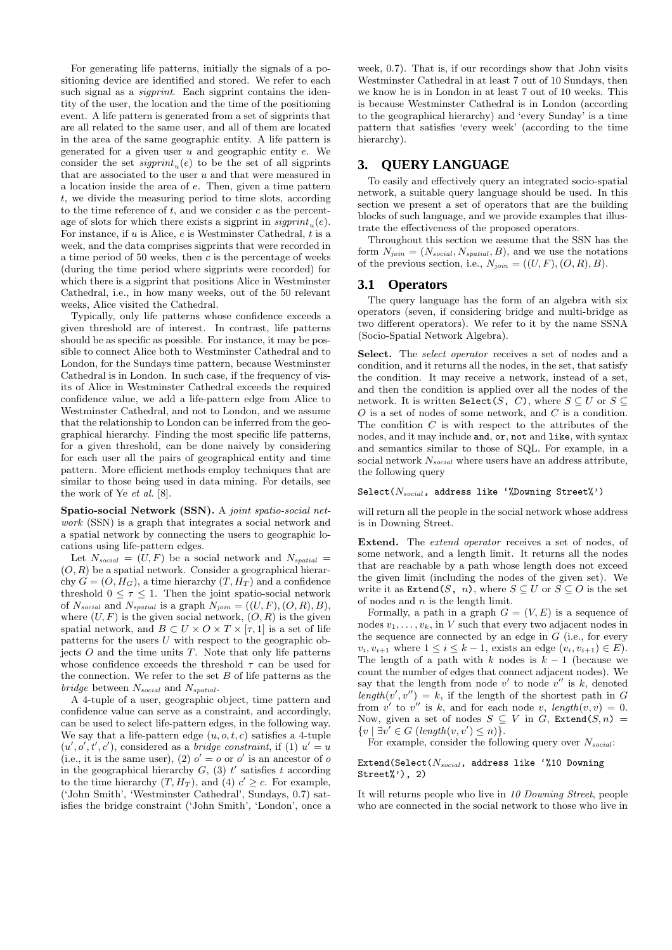For generating life patterns, initially the signals of a positioning device are identified and stored. We refer to each such signal as a *sigprint*. Each sigprint contains the identity of the user, the location and the time of the positioning event. A life pattern is generated from a set of sigprints that are all related to the same user, and all of them are located in the area of the same geographic entity. A life pattern is generated for a given user  $u$  and geographic entity  $e$ . We consider the set  $signint_u(e)$  to be the set of all sigprints that are associated to the user u and that were measured in a location inside the area of e. Then, given a time pattern t, we divide the measuring period to time slots, according to the time reference of  $t$ , and we consider  $c$  as the percentage of slots for which there exists a sigprint in  $\mathit{signrint}_u(e)$ . For instance, if  $u$  is Alice,  $e$  is Westminster Cathedral,  $t$  is a week, and the data comprises sigprints that were recorded in a time period of 50 weeks, then  $c$  is the percentage of weeks (during the time period where sigprints were recorded) for which there is a sigprint that positions Alice in Westminster Cathedral, i.e., in how many weeks, out of the 50 relevant weeks, Alice visited the Cathedral.

Typically, only life patterns whose confidence exceeds a given threshold are of interest. In contrast, life patterns should be as specific as possible. For instance, it may be possible to connect Alice both to Westminster Cathedral and to London, for the Sundays time pattern, because Westminster Cathedral is in London. In such case, if the frequency of visits of Alice in Westminster Cathedral exceeds the required confidence value, we add a life-pattern edge from Alice to Westminster Cathedral, and not to London, and we assume that the relationship to London can be inferred from the geographical hierarchy. Finding the most specific life patterns, for a given threshold, can be done naively by considering for each user all the pairs of geographical entity and time pattern. More efficient methods employ techniques that are similar to those being used in data mining. For details, see the work of Ye et al. [8].

Spatio-social Network (SSN). A joint spatio-social network (SSN) is a graph that integrates a social network and a spatial network by connecting the users to geographic locations using life-pattern edges.

Let  $N_{social} = (U, F)$  be a social network and  $N_{spatial} =$  $(O, R)$  be a spatial network. Consider a geographical hierarchy  $G = (O, H_G)$ , a time hierarchy  $(T, H_T)$  and a confidence threshold  $0 \leq \tau \leq 1$ . Then the joint spatio-social network of  $N_{social}$  and  $N_{spatial}$  is a graph  $N_{join} = ((U, F), (O, R), B),$ where  $(U, F)$  is the given social network,  $(O, R)$  is the given spatial network, and  $B \subset U \times O \times T \times [\tau, 1]$  is a set of life patterns for the users  $U$  with respect to the geographic objects  $O$  and the time units  $T$ . Note that only life patterns whose confidence exceeds the threshold  $\tau$  can be used for the connection. We refer to the set  $B$  of life patterns as the bridge between  $N_{social}$  and  $N_{spatial}$ .

A 4-tuple of a user, geographic object, time pattern and confidence value can serve as a constraint, and accordingly, can be used to select life-pattern edges, in the following way. We say that a life-pattern edge  $(u, o, t, c)$  satisfies a 4-tuple  $(u', o', t', c')$ , considered as a *bridge constraint*, if (1)  $u' = u$ (i.e., it is the same user), (2)  $o' = o$  or  $o'$  is an ancestor of  $o$ in the geographical hierarchy  $G_i$ , (3) t' satisfies t according to the time hierarchy  $(T, H_T)$ , and  $(4)$   $c' \geq c$ . For example, ('John Smith', 'Westminster Cathedral', Sundays, 0.7) satisfies the bridge constraint ('John Smith', 'London', once a week, 0.7). That is, if our recordings show that John visits Westminster Cathedral in at least 7 out of 10 Sundays, then we know he is in London in at least 7 out of 10 weeks. This is because Westminster Cathedral is in London (according to the geographical hierarchy) and 'every Sunday' is a time pattern that satisfies 'every week' (according to the time hierarchy).

# **3. QUERY LANGUAGE**

To easily and effectively query an integrated socio-spatial network, a suitable query language should be used. In this section we present a set of operators that are the building blocks of such language, and we provide examples that illustrate the effectiveness of the proposed operators.

Throughout this section we assume that the SSN has the form  $N_{join} = (N_{social}, N_{spatial}, B)$ , and we use the notations of the previous section, i.e.,  $N_{join} = ((U, F), (O, R), B)$ .

## **3.1 Operators**

The query language has the form of an algebra with six operators (seven, if considering bridge and multi-bridge as two different operators). We refer to it by the name SSNA (Socio-Spatial Network Algebra).

Select. The *select operator* receives a set of nodes and a condition, and it returns all the nodes, in the set, that satisfy the condition. It may receive a network, instead of a set, and then the condition is applied over all the nodes of the network. It is written Select(S, C), where  $S \subseteq U$  or  $S \subseteq$  $O$  is a set of nodes of some network, and  $C$  is a condition. The condition  $C$  is with respect to the attributes of the nodes, and it may include and, or, not and like, with syntax and semantics similar to those of SQL. For example, in a social network  $N_{\mathit{social}}$  where users have an address attribute, the following query

# Select $(N_{social}$ , address like '%Downing Street%')

will return all the people in the social network whose address is in Downing Street.

Extend. The *extend operator* receives a set of nodes, of some network, and a length limit. It returns all the nodes that are reachable by a path whose length does not exceed the given limit (including the nodes of the given set). We write it as  $\texttt{Extend}(S, n)$ , where  $S \subseteq U$  or  $S \subseteq O$  is the set of nodes and  $n$  is the length limit.

Formally, a path in a graph  $G = (V, E)$  is a sequence of nodes  $v_1, \ldots, v_k$ , in V such that every two adjacent nodes in the sequence are connected by an edge in  $G$  (i.e., for every  $v_i, v_{i+1}$  where  $1 \le i \le k-1$ , exists an edge  $(v_i, v_{i+1}) \in E$ ). The length of a path with  $k$  nodes is  $k - 1$  (because we count the number of edges that connect adjacent nodes). We say that the length from node  $v'$  to node  $v''$  is  $k$ , denoted  $length(v', v'') = k$ , if the length of the shortest path in G from  $v'$  to  $v''$  is k, and for each node v, length $(v, v) = 0$ . Now, given a set of nodes  $S \subseteq V$  in G, Extend(S, n) =  $\{v \mid \exists v' \in G \ (length(v, v') \leq n) \}.$ 

For example, consider the following query over  $N_{social}$ :

#### Extend(Select( $N_{social}$ , address like '%10 Downing Street%'), 2)

It will returns people who live in 10 Downing Street, people who are connected in the social network to those who live in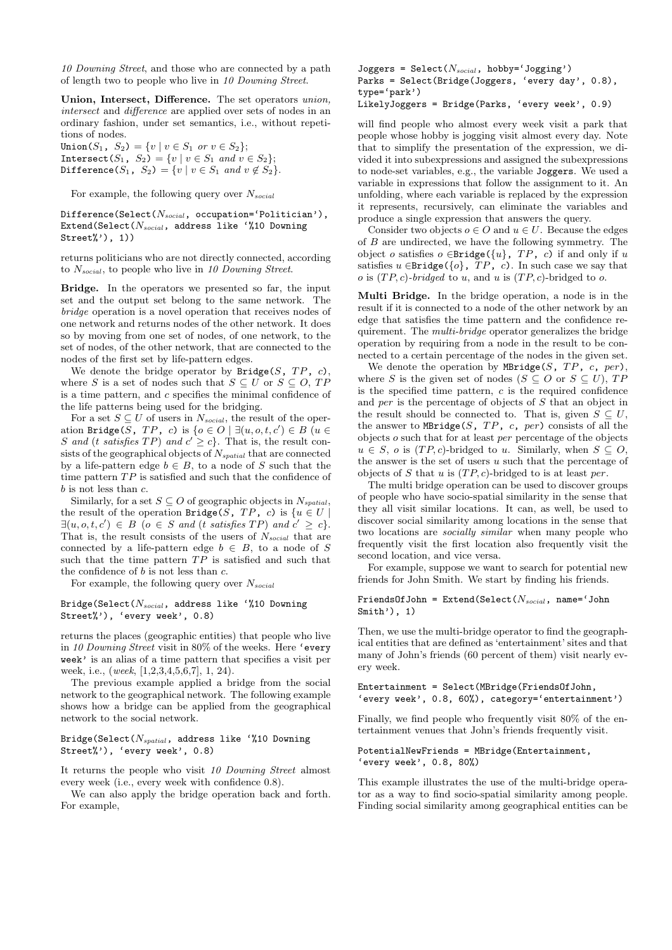10 Downing Street, and those who are connected by a path of length two to people who live in 10 Downing Street.

Union, Intersect, Difference. The set operators union, intersect and difference are applied over sets of nodes in an ordinary fashion, under set semantics, i.e., without repetitions of nodes.

Union(S<sub>1</sub>, S<sub>2</sub>) = {v| v  $\in$  S<sub>1</sub> or v  $\in$  S<sub>2</sub>}; Intersect( $S_1$ ,  $S_2$ ) = {v| v  $\in S_1$  and  $v \in S_2$ }; Difference( $S_1$ ,  $S_2$ ) = {v| v  $\in S_1$  and  $v \notin S_2$  }.

For example, the following query over  $N_{social}$ 

#### Difference(Select( $N_{social}$ , occupation='Politician'), Extend(Select( $N_{social}$ , address like '%10 Downing Street%'), 1))

returns politicians who are not directly connected, according to  $N_{social}$ , to people who live in 10 Downing Street.

Bridge. In the operators we presented so far, the input set and the output set belong to the same network. The bridge operation is a novel operation that receives nodes of one network and returns nodes of the other network. It does so by moving from one set of nodes, of one network, to the set of nodes, of the other network, that are connected to the nodes of the first set by life-pattern edges.

We denote the bridge operator by  $\texttt{Bridge}(S, TP, c),$ where S is a set of nodes such that  $S \subseteq U$  or  $S \subseteq O$ , TP is a time pattern, and c specifies the minimal confidence of the life patterns being used for the bridging.

For a set  $S \subseteq U$  of users in  $N_{social}$ , the result of the operation Bridge( $S$ ,  $TP$ ,  $c$ ) is  $\{o \in \overline{O} \mid \exists (u, o, t, c') \in B \}$  ( $u \in$ S and (t satisfies  $TP$ ) and  $c' \ge c$ . That is, the result consists of the geographical objects of  $N_{spatial}$  that are connected by a life-pattern edge  $b \in B$ , to a node of S such that the time pattern  $TP$  is satisfied and such that the confidence of b is not less than c.

Similarly, for a set  $S \subseteq O$  of geographic objects in  $N_{spatial}$ , the result of the operation Bridge(S, TP, c) is  $\{u \in U \mid$  $\exists (u, o, t, c') \in B \text{ (}o \in S \text{ and (}t \text{ satisfies } TP) \text{ and } c' \geq c$ . That is, the result consists of the users of  $N_{social}$  that are connected by a life-pattern edge  $b \in B$ , to a node of S such that the time pattern  $TP$  is satisfied and such that the confidence of  $b$  is not less than  $c$ .

For example, the following query over  $N_{social}$ 

#### Bridge(Select( $N_{social}$ , address like '%10 Downing Street%'), 'every week', 0.8)

returns the places (geographic entities) that people who live in 10 Downing Street visit in 80% of the weeks. Here 'every week' is an alias of a time pattern that specifies a visit per week, i.e., (week, [1,2,3,4,5,6,7], 1, 24).

The previous example applied a bridge from the social network to the geographical network. The following example shows how a bridge can be applied from the geographical network to the social network.

Bridge(Select( $N_{spatial}$ , address like '%10 Downing Street%'), 'every week', 0.8)

It returns the people who visit 10 Downing Street almost every week (i.e., every week with confidence 0.8).

We can also apply the bridge operation back and forth. For example,

Joggers = Select( $N_{social}$ , hobby='Jogging') Parks = Select(Bridge(Joggers, 'every day', 0.8), type='park') LikelyJoggers = Bridge(Parks, 'every week', 0.9)

will find people who almost every week visit a park that people whose hobby is jogging visit almost every day. Note that to simplify the presentation of the expression, we divided it into subexpressions and assigned the subexpressions to node-set variables, e.g., the variable Joggers. We used a variable in expressions that follow the assignment to it. An unfolding, where each variable is replaced by the expression it represents, recursively, can eliminate the variables and produce a single expression that answers the query.

Consider two objects  $o \in O$  and  $u \in U$ . Because the edges of B are undirected, we have the following symmetry. The object o satisfies  $o \in$ Bridge({u},  $TP$ , c) if and only if u satisfies  $u \in$ Bridge({ $o$ },  $TP$ ,  $c$ ). In such case we say that o is  $(TP, c)$ -bridged to u, and u is  $(TP, c)$ -bridged to o.

Multi Bridge. In the bridge operation, a node is in the result if it is connected to a node of the other network by an edge that satisfies the time pattern and the confidence requirement. The multi-bridge operator generalizes the bridge operation by requiring from a node in the result to be connected to a certain percentage of the nodes in the given set.

We denote the operation by MBridge(S,  $TP$ ,  $c$ ,  $per$ ), where S is the given set of nodes ( $S \subseteq O$  or  $S \subseteq U$ ), TP is the specified time pattern,  $c$  is the required confidence and per is the percentage of objects of S that an object in the result should be connected to. That is, given  $S \subseteq U$ , the answer to MBridge(S,  $TP$ ,  $c$ ,  $per$ ) consists of all the objects  $o$  such that for at least  $per$  percentage of the objects  $u \in S$ , o is  $(TP, c)$ -bridged to u. Similarly, when  $S \subseteq O$ , the answer is the set of users  $u$  such that the percentage of objects of S that u is  $(TP, c)$ -bridged to is at least per.

The multi bridge operation can be used to discover groups of people who have socio-spatial similarity in the sense that they all visit similar locations. It can, as well, be used to discover social similarity among locations in the sense that two locations are socially similar when many people who frequently visit the first location also frequently visit the second location, and vice versa.

For example, suppose we want to search for potential new friends for John Smith. We start by finding his friends.

#### FriendsOfJohn = Extend(Select( $N_{social}$ , name='John Smith'), 1)

Then, we use the multi-bridge operator to find the geographical entities that are defined as 'entertainment' sites and that many of John's friends (60 percent of them) visit nearly every week.

#### Entertainment = Select(MBridge(FriendsOfJohn, 'every week', 0.8, 60%), category='entertainment')

Finally, we find people who frequently visit 80% of the entertainment venues that John's friends frequently visit.

#### PotentialNewFriends = MBridge(Entertainment, 'every week', 0.8, 80%)

This example illustrates the use of the multi-bridge operator as a way to find socio-spatial similarity among people. Finding social similarity among geographical entities can be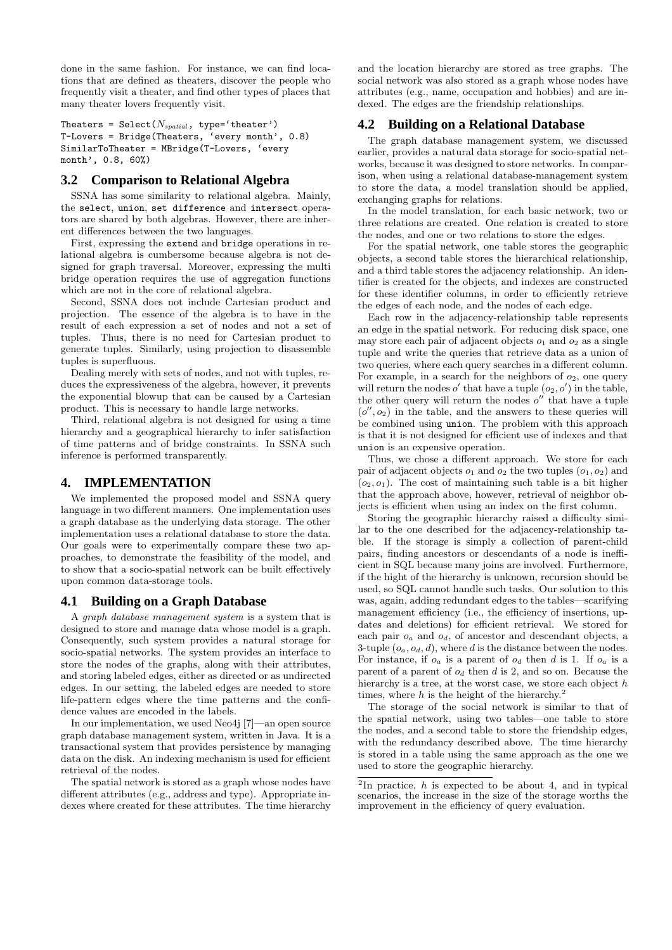done in the same fashion. For instance, we can find locations that are defined as theaters, discover the people who frequently visit a theater, and find other types of places that many theater lovers frequently visit.

Theaters =  $\texttt{Select}(N_{spatial}, \text{ type} = \text{`theater'})$ T-Lovers = Bridge(Theaters, 'every month', 0.8) SimilarToTheater = MBridge(T-Lovers, 'every month', 0.8, 60%)

## **3.2 Comparison to Relational Algebra**

SSNA has some similarity to relational algebra. Mainly, the select, union, set difference and intersect operators are shared by both algebras. However, there are inherent differences between the two languages.

First, expressing the extend and bridge operations in relational algebra is cumbersome because algebra is not designed for graph traversal. Moreover, expressing the multi bridge operation requires the use of aggregation functions which are not in the core of relational algebra.

Second, SSNA does not include Cartesian product and projection. The essence of the algebra is to have in the result of each expression a set of nodes and not a set of tuples. Thus, there is no need for Cartesian product to generate tuples. Similarly, using projection to disassemble tuples is superfluous.

Dealing merely with sets of nodes, and not with tuples, reduces the expressiveness of the algebra, however, it prevents the exponential blowup that can be caused by a Cartesian product. This is necessary to handle large networks.

Third, relational algebra is not designed for using a time hierarchy and a geographical hierarchy to infer satisfaction of time patterns and of bridge constraints. In SSNA such inference is performed transparently.

## **4. IMPLEMENTATION**

We implemented the proposed model and SSNA query language in two different manners. One implementation uses a graph database as the underlying data storage. The other implementation uses a relational database to store the data. Our goals were to experimentally compare these two approaches, to demonstrate the feasibility of the model, and to show that a socio-spatial network can be built effectively upon common data-storage tools.

## **4.1 Building on a Graph Database**

A graph database management system is a system that is designed to store and manage data whose model is a graph. Consequently, such system provides a natural storage for socio-spatial networks. The system provides an interface to store the nodes of the graphs, along with their attributes, and storing labeled edges, either as directed or as undirected edges. In our setting, the labeled edges are needed to store life-pattern edges where the time patterns and the confidence values are encoded in the labels.

In our implementation, we used Neo4j [7]—an open source graph database management system, written in Java. It is a transactional system that provides persistence by managing data on the disk. An indexing mechanism is used for efficient retrieval of the nodes.

The spatial network is stored as a graph whose nodes have different attributes (e.g., address and type). Appropriate indexes where created for these attributes. The time hierarchy

and the location hierarchy are stored as tree graphs. The social network was also stored as a graph whose nodes have attributes (e.g., name, occupation and hobbies) and are indexed. The edges are the friendship relationships.

## **4.2 Building on a Relational Database**

The graph database management system, we discussed earlier, provides a natural data storage for socio-spatial networks, because it was designed to store networks. In comparison, when using a relational database-management system to store the data, a model translation should be applied, exchanging graphs for relations.

In the model translation, for each basic network, two or three relations are created. One relation is created to store the nodes, and one or two relations to store the edges.

For the spatial network, one table stores the geographic objects, a second table stores the hierarchical relationship, and a third table stores the adjacency relationship. An identifier is created for the objects, and indexes are constructed for these identifier columns, in order to efficiently retrieve the edges of each node, and the nodes of each edge.

Each row in the adjacency-relationship table represents an edge in the spatial network. For reducing disk space, one may store each pair of adjacent objects  $o_1$  and  $o_2$  as a single tuple and write the queries that retrieve data as a union of two queries, where each query searches in a different column. For example, in a search for the neighbors of  $o_2$ , one query will return the nodes o' that have a tuple  $(o_2, o')$  in the table, the other query will return the nodes  $o''$  that have a tuple  $(o'', o_2)$  in the table, and the answers to these queries will be combined using union. The problem with this approach is that it is not designed for efficient use of indexes and that union is an expensive operation.

Thus, we chose a different approach. We store for each pair of adjacent objects  $o_1$  and  $o_2$  the two tuples  $(o_1, o_2)$  and  $(o_2, o_1)$ . The cost of maintaining such table is a bit higher that the approach above, however, retrieval of neighbor objects is efficient when using an index on the first column.

Storing the geographic hierarchy raised a difficulty similar to the one described for the adjacency-relationship table. If the storage is simply a collection of parent-child pairs, finding ancestors or descendants of a node is inefficient in SQL because many joins are involved. Furthermore, if the hight of the hierarchy is unknown, recursion should be used, so SQL cannot handle such tasks. Our solution to this was, again, adding redundant edges to the tables—scarifying management efficiency (i.e., the efficiency of insertions, updates and deletions) for efficient retrieval. We stored for each pair  $o_a$  and  $o_d$ , of ancestor and descendant objects, a 3-tuple  $(o_a, o_d, d)$ , where d is the distance between the nodes. For instance, if  $o_a$  is a parent of  $o_d$  then d is 1. If  $o_a$  is a parent of a parent of  $o_d$  then d is 2, and so on. Because the hierarchy is a tree, at the worst case, we store each object  $h$ times, where  $h$  is the height of the hierarchy.<sup>2</sup>

The storage of the social network is similar to that of the spatial network, using two tables—one table to store the nodes, and a second table to store the friendship edges, with the redundancy described above. The time hierarchy is stored in a table using the same approach as the one we used to store the geographic hierarchy.

<sup>&</sup>lt;sup>2</sup>In practice,  $h$  is expected to be about 4, and in typical scenarios, the increase in the size of the storage worths the improvement in the efficiency of query evaluation.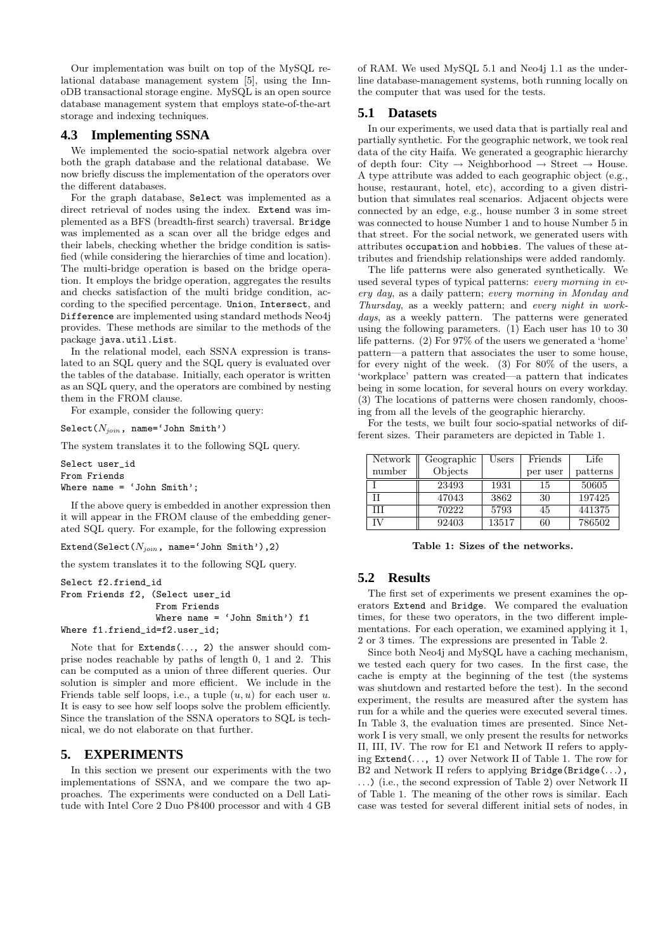Our implementation was built on top of the MySQL relational database management system [5], using the InnoDB transactional storage engine. MySQL is an open source database management system that employs state-of-the-art storage and indexing techniques.

#### **4.3 Implementing SSNA**

We implemented the socio-spatial network algebra over both the graph database and the relational database. We now briefly discuss the implementation of the operators over the different databases.

For the graph database, Select was implemented as a direct retrieval of nodes using the index. Extend was implemented as a BFS (breadth-first search) traversal. Bridge was implemented as a scan over all the bridge edges and their labels, checking whether the bridge condition is satisfied (while considering the hierarchies of time and location). The multi-bridge operation is based on the bridge operation. It employs the bridge operation, aggregates the results and checks satisfaction of the multi bridge condition, according to the specified percentage. Union, Intersect, and Difference are implemented using standard methods Neo4j provides. These methods are similar to the methods of the package java.util.List.

In the relational model, each SSNA expression is translated to an SQL query and the SQL query is evaluated over the tables of the database. Initially, each operator is written as an SQL query, and the operators are combined by nesting them in the FROM clause.

For example, consider the following query:

Select $(N_{join}, \text{name='John Smith'})$ 

The system translates it to the following SQL query.

Select user\_id From Friends Where name = 'John Smith';

If the above query is embedded in another expression then it will appear in the FROM clause of the embedding generated SQL query. For example, for the following expression

Extend(Select( $N_{join}$ , name='John Smith'),2)

the system translates it to the following SQL query.

```
Select f2.friend_id
From Friends f2, (Select user_id
                  From Friends
                  Where name = 'John Smith') f1
Where f1.friend_id=f2.user_id;
```
Note that for Extends(..., 2) the answer should comprise nodes reachable by paths of length 0, 1 and 2. This can be computed as a union of three different queries. Our solution is simpler and more efficient. We include in the Friends table self loops, i.e., a tuple  $(u, u)$  for each user u. It is easy to see how self loops solve the problem efficiently. Since the translation of the SSNA operators to SQL is technical, we do not elaborate on that further.

## **5. EXPERIMENTS**

In this section we present our experiments with the two implementations of SSNA, and we compare the two approaches. The experiments were conducted on a Dell Latitude with Intel Core 2 Duo P8400 processor and with 4 GB

of RAM. We used MySQL 5.1 and Neo4j 1.1 as the underline database-management systems, both running locally on the computer that was used for the tests.

#### **5.1 Datasets**

In our experiments, we used data that is partially real and partially synthetic. For the geographic network, we took real data of the city Haifa. We generated a geographic hierarchy of depth four: City  $\rightarrow$  Neighborhood  $\rightarrow$  Street  $\rightarrow$  House. A type attribute was added to each geographic object (e.g., house, restaurant, hotel, etc), according to a given distribution that simulates real scenarios. Adjacent objects were connected by an edge, e.g., house number 3 in some street was connected to house Number 1 and to house Number 5 in that street. For the social network, we generated users with attributes occupation and hobbies. The values of these attributes and friendship relationships were added randomly.

The life patterns were also generated synthetically. We used several types of typical patterns: every morning in every day, as a daily pattern; every morning in Monday and Thursday, as a weekly pattern; and every night in workdays, as a weekly pattern. The patterns were generated using the following parameters. (1) Each user has 10 to 30 life patterns. (2) For 97% of the users we generated a 'home' pattern—a pattern that associates the user to some house, for every night of the week. (3) For 80% of the users, a 'workplace' pattern was created—a pattern that indicates being in some location, for several hours on every workday. (3) The locations of patterns were chosen randomly, choosing from all the levels of the geographic hierarchy.

For the tests, we built four socio-spatial networks of different sizes. Their parameters are depicted in Table 1.

| Network | Geographic | Users | Friends  | Life     |
|---------|------------|-------|----------|----------|
| number  | Objects    |       | per user | patterns |
|         | 23493      | 1931  | 15       | 50605    |
|         | 47043      | 3862  | 30       | 197425   |
| Ħ       | 70222      | 5793  | 45       | 441375   |
| ΓV      | 92403      | 13517 | 60       | 786502   |

Table 1: Sizes of the networks.

## **5.2 Results**

The first set of experiments we present examines the operators Extend and Bridge. We compared the evaluation times, for these two operators, in the two different implementations. For each operation, we examined applying it 1, 2 or 3 times. The expressions are presented in Table 2.

Since both Neo4j and MySQL have a caching mechanism, we tested each query for two cases. In the first case, the cache is empty at the beginning of the test (the systems was shutdown and restarted before the test). In the second experiment, the results are measured after the system has run for a while and the queries were executed several times. In Table 3, the evaluation times are presented. Since Network I is very small, we only present the results for networks II, III, IV. The row for E1 and Network II refers to applying Extend(. . ., 1) over Network II of Table 1. The row for B2 and Network II refers to applying Bridge(Bridge(...), . . .) (i.e., the second expression of Table 2) over Network II of Table 1. The meaning of the other rows is similar. Each case was tested for several different initial sets of nodes, in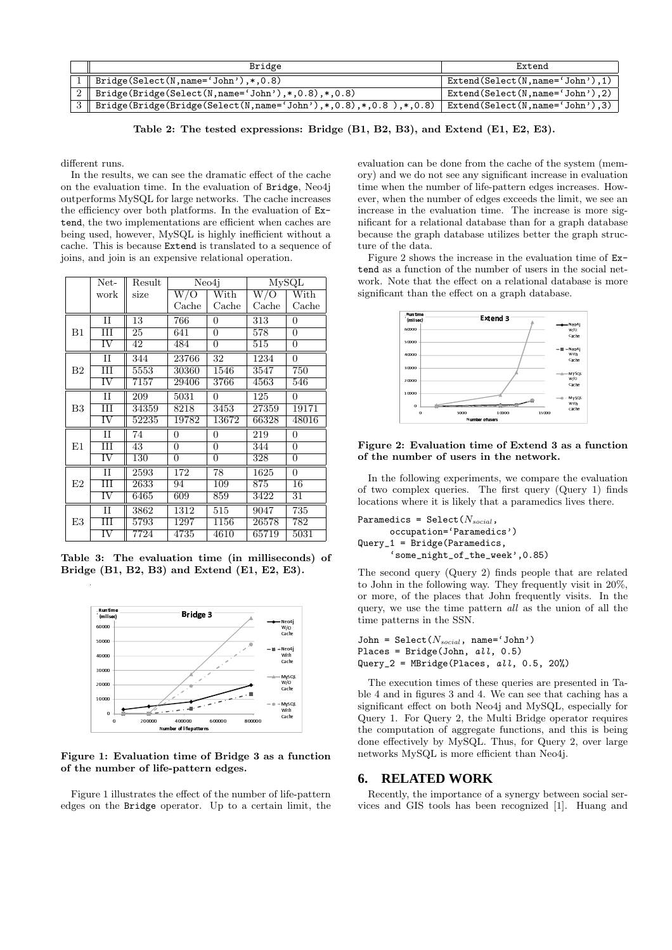| Bridge                                                               | Extend                              |  |  |
|----------------------------------------------------------------------|-------------------------------------|--|--|
| $1 \parallel$ Bridge(Select(N, name='John'), *, 0.8)                 | $Extend(Select(N, name='John'), 1)$ |  |  |
| 2   Bridge(Bridge(Select(N, name='John'), *, 0.8), *, 0.8)           | $Extend(Select(N, name='John'), 2)$ |  |  |
| 3    Bridge(Bridge(Bridge(Select(N,name='John'),*,0.8),*,0.8),*,0.8) | Extend(Select(N,name='John'),3)     |  |  |

Table 2: The tested expressions: Bridge (B1, B2, B3), and Extend (E1, E2, E3).

different runs.

In the results, we can see the dramatic effect of the cache on the evaluation time. In the evaluation of Bridge, Neo4j outperforms MySQL for large networks. The cache increases the efficiency over both platforms. In the evaluation of Extend, the two implementations are efficient when caches are being used, however, MySQL is highly inefficient without a cache. This is because Extend is translated to a sequence of joins, and join is an expensive relational operation.

|             | Net-                   | Result          | Neo4i                   |                          | $\overline{\text{MySQL}}$ |                          |
|-------------|------------------------|-----------------|-------------------------|--------------------------|---------------------------|--------------------------|
|             | work                   | size            | $\overline{\text{W/O}}$ | $\overline{\text{With}}$ | $\overline{\text{W/O}}$   | $\overline{\text{With}}$ |
|             |                        |                 | Cache                   | $\operatorname{Cache}$   | Cache                     | Cache                    |
| B1          | $\overline{\rm II}$    | 13              | 766                     | 0                        | 313                       | 0                        |
|             | Ш                      | $\overline{25}$ | 641                     | $\overline{0}$           | 578                       | $\overline{0}$           |
|             | $\overline{\text{IV}}$ | 42              | 484                     | $\overline{0}$           | 515                       | $\overline{0}$           |
|             | $\rm II$               | 344             | 23766                   | 32                       | 1234                      | $\overline{0}$           |
| $_{\rm B2}$ | Ш                      | 5553            | 30360                   | 1546                     | 3547                      | 750                      |
|             | IV                     | 7157            | 29406                   | 3766                     | 4563                      | 546                      |
|             | $\overline{\rm II}$    | 209             | 5031                    | $\overline{0}$           | 125                       | $\overline{0}$           |
| B3          | Ш                      | 34359           | 8218                    | 3453                     | 27359                     | 19171                    |
|             | IV                     | 52235           | 19782                   | 13672                    | 66328                     | 48016                    |
| E1          | $_{\rm II}$            | 74              | 0                       | 0                        | 219                       | $\overline{0}$           |
|             | Ш                      | 43              | 0                       | $\overline{0}$           | 344                       | $\overline{0}$           |
|             | $\overline{\text{IV}}$ | 130             | 0                       | 0                        | 328                       | 0                        |
| E2          | $_{\rm II}$            | 2593            | 172                     | 78                       | 1625                      | $\overline{0}$           |
|             | Ш                      | 2633            | 94                      | 109                      | 875                       | 16                       |
|             | $\overline{\text{IV}}$ | 6465            | 609                     | 859                      | 3422                      | 31                       |
|             | $\overline{\rm II}$    | 3862            | 1312                    | 515                      | 9047                      | $\overline{735}$         |
| E3          | Ш                      | 5793            | 1297                    | 1156                     | 26578                     | 782                      |
|             | $\overline{\text{IV}}$ | 7724            | 4735                    | 4610                     | 65719                     | 5031                     |

Table 3: The evaluation time (in milliseconds) of Bridge (B1, B2, B3) and Extend (E1, E2, E3).



Figure 1: Evaluation time of Bridge 3 as a function of the number of life-pattern edges.

Figure 1 illustrates the effect of the number of life-pattern edges on the Bridge operator. Up to a certain limit, the

evaluation can be done from the cache of the system (memory) and we do not see any significant increase in evaluation time when the number of life-pattern edges increases. However, when the number of edges exceeds the limit, we see an increase in the evaluation time. The increase is more significant for a relational database than for a graph database because the graph database utilizes better the graph structure of the data.

Figure 2 shows the increase in the evaluation time of Extend as a function of the number of users in the social network. Note that the effect on a relational database is more significant than the effect on a graph database.



Figure 2: Evaluation time of Extend 3 as a function of the number of users in the network.

In the following experiments, we compare the evaluation of two complex queries. The first query (Query 1) finds locations where it is likely that a paramedics lives there.

```
Paramedics = Select(N_{social},
      occupation='Paramedics')
Query_1 = Bridge(Paramedics,
      'some_night_of_the_week',0.85)
```
The second query (Query 2) finds people that are related to John in the following way. They frequently visit in 20%, or more, of the places that John frequently visits. In the query, we use the time pattern all as the union of all the time patterns in the SSN.

```
John = Select(N_{social}, name='John')
Places = Bridge(John, all, 0.5)
Query_2 = MBridge(Places, all, 0.5, 20%)
```
The execution times of these queries are presented in Table 4 and in figures 3 and 4. We can see that caching has a significant effect on both Neo4j and MySQL, especially for Query 1. For Query 2, the Multi Bridge operator requires the computation of aggregate functions, and this is being done effectively by MySQL. Thus, for Query 2, over large networks MySQL is more efficient than Neo4j.

## **6. RELATED WORK**

Recently, the importance of a synergy between social services and GIS tools has been recognized [1]. Huang and